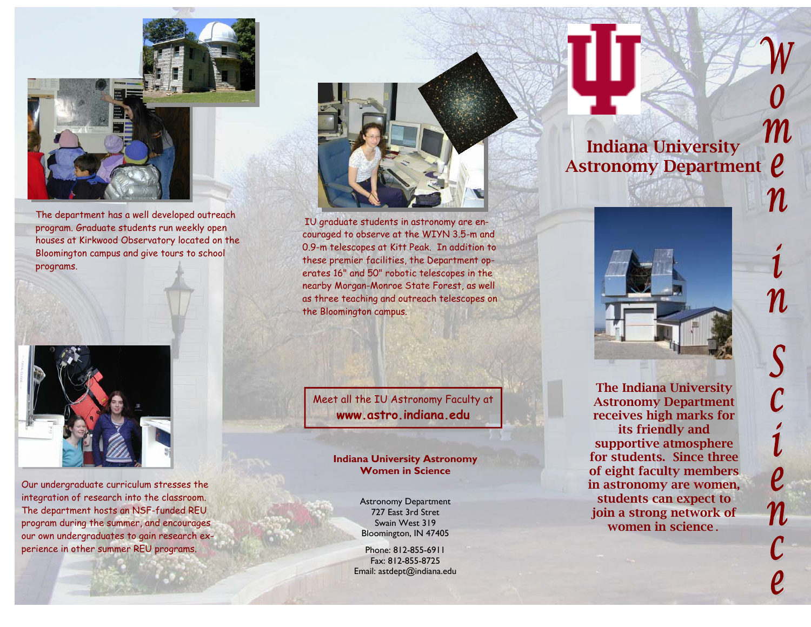

The department has a well developed outreach program. Graduate students run weekly open houses at Kirkwood Observatory located on the Bloomington campus and give tours to school programs.



Our undergraduate curriculum stresses the integration of research into the classroom. The department hosts an NSF-funded REU program during the summer, and encourages our own undergraduates to gain research experience in other summer REU programs.



IU graduate students in astronomy are encouraged to observe at the WIYN 3.5-m and 0.9-m telescopes at Kitt Peak. In addition to these premier facilities, the Department operates 16" and 50" robotic telescopes in the nearby Morgan-Monroe State Forest, as well as three teaching and outreach telescopes on the Bloomington campus.

Meet all the IU Astronomy Faculty at **www.astro.indiana.edu** 

## **Indiana University Astronomy Women in Science**

Astronomy Department 727 East 3rd Stret Swain West 319 Bloomington, IN 47405

Phone: 812-855-6911 Fax: 812-855-8725 Email: astdept@indiana.edu

## $m$ Indiana University Astronomy Department  $\rho$



The Indiana University Astronomy Department receives high marks for its friendly and supportive atmosphere for students. Since three of eight faculty members in astronomy are women, students can expect to join a strong network of women in science.